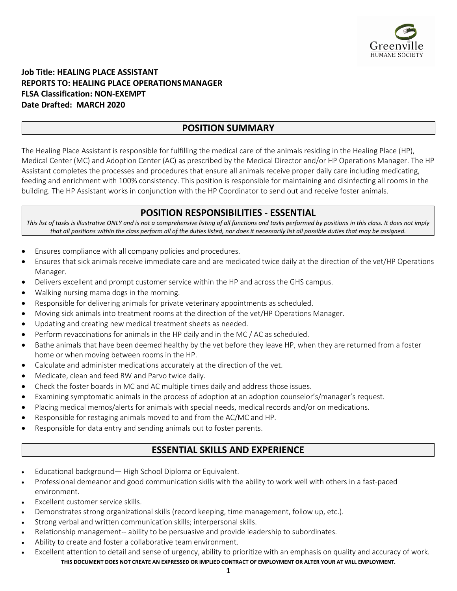

### **Job Title: HEALING PLACE ASSISTANT REPORTS TO: HEALING PLACE OPERATIONSMANAGER FLSA Classification: NON-EXEMPT Date Drafted: MARCH 2020**

## **POSITION SUMMARY**

The Healing Place Assistant is responsible for fulfilling the medical care of the animals residing in the Healing Place (HP), Medical Center (MC) and Adoption Center (AC) as prescribed by the Medical Director and/or HP Operations Manager. The HP Assistant completes the processes and procedures that ensure all animals receive proper daily care including medicating, feeding and enrichment with 100% consistency. This position is responsible for maintaining and disinfecting all rooms in the building. The HP Assistant works in conjunction with the HP Coordinator to send out and receive foster animals.

# **POSITION RESPONSIBILITIES - ESSENTIAL**

This list of tasks is illustrative ONLY and is not a comprehensive listing of all functions and tasks performed by positions in this class. It does not imply *that all positions within the class perform all of the duties listed, nor does it necessarily list all possible duties that may be assigned.*

- Ensures compliance with all company policies and procedures.
- Ensures that sick animals receive immediate care and are medicated twice daily at the direction of the vet/HP Operations Manager.
- Delivers excellent and prompt customer service within the HP and across the GHS campus.
- Walking nursing mama dogs in the morning.
- Responsible for delivering animals for private veterinary appointments as scheduled.
- Moving sick animals into treatment rooms at the direction of the vet/HP Operations Manager.
- Updating and creating new medical treatment sheets as needed.
- Perform revaccinations for animals in the HP daily and in the MC / AC as scheduled.
- Bathe animals that have been deemed healthy by the vet before they leave HP, when they are returned from a foster home or when moving between rooms in the HP.
- Calculate and administer medications accurately at the direction of the vet.
- Medicate, clean and feed RW and Parvo twice daily.
- Check the foster boards in MC and AC multiple times daily and address those issues.
- Examining symptomatic animals in the process of adoption at an adoption counselor's/manager's request.
- Placing medical memos/alerts for animals with special needs, medical records and/or on medications.
- Responsible for restaging animals moved to and from the AC/MC and HP.
- Responsible for data entry and sending animals out to foster parents.

# **ESSENTIAL SKILLS AND EXPERIENCE**

- Educational background— High School Diploma or Equivalent.
- Professional demeanor and good communication skills with the ability to work well with others in a fast-paced environment.
- Excellent customer service skills.
- Demonstrates strong organizational skills (record keeping, time management, follow up, etc.).
- Strong verbal and written communication skills; interpersonal skills.
- Relationship management-- ability to be persuasive and provide leadership to subordinates.
- Ability to create and foster a collaborative team environment.
- **THIS DOCUMENT DOES NOT CREATE AN EXPRESSED OR IMPLIED CONTRACT OF EMPLOYMENT OR ALTER YOUR AT WILL EMPLOYMENT.** • Excellent attention to detail and sense of urgency, ability to prioritize with an emphasis on quality and accuracy of work.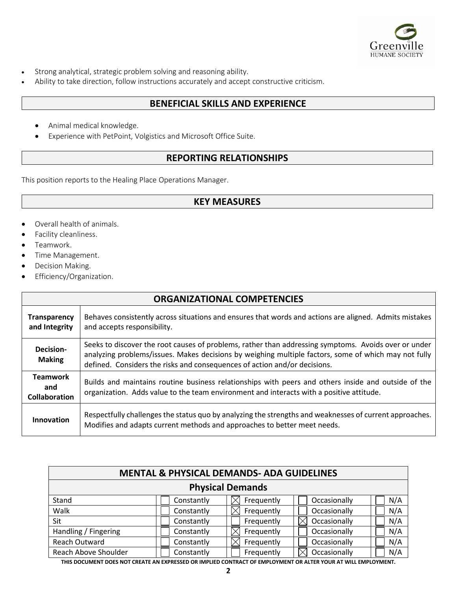

- Strong analytical, strategic problem solving and reasoning ability.
- Ability to take direction, follow instructions accurately and accept constructive criticism.

#### **BENEFICIAL SKILLS AND EXPERIENCE**

- Animal medical knowledge.
- Experience with PetPoint, Volgistics and Microsoft Office Suite.

## **REPORTING RELATIONSHIPS**

This position reports to the Healing Place Operations Manager.

#### **KEY MEASURES**

- Overall health of animals.
- Facility cleanliness.
- Teamwork.
- Time Management.
- Decision Making.
- Efficiency/Organization.

| <b>ORGANIZATIONAL COMPETENCIES</b>             |                                                                                                                                                                                                                                                                                           |  |  |  |
|------------------------------------------------|-------------------------------------------------------------------------------------------------------------------------------------------------------------------------------------------------------------------------------------------------------------------------------------------|--|--|--|
| <b>Transparency</b><br>and Integrity           | Behaves consistently across situations and ensures that words and actions are aligned. Admits mistakes<br>and accepts responsibility.                                                                                                                                                     |  |  |  |
| Decision-<br><b>Making</b>                     | Seeks to discover the root causes of problems, rather than addressing symptoms. Avoids over or under<br>analyzing problems/issues. Makes decisions by weighing multiple factors, some of which may not fully<br>defined. Considers the risks and consequences of action and/or decisions. |  |  |  |
| <b>Teamwork</b><br>and<br><b>Collaboration</b> | Builds and maintains routine business relationships with peers and others inside and outside of the<br>organization. Adds value to the team environment and interacts with a positive attitude.                                                                                           |  |  |  |
| Innovation                                     | Respectfully challenges the status quo by analyzing the strengths and weaknesses of current approaches.<br>Modifies and adapts current methods and approaches to better meet needs.                                                                                                       |  |  |  |

| <b>MENTAL &amp; PHYSICAL DEMANDS- ADA GUIDELINES</b> |            |            |              |     |  |  |  |  |
|------------------------------------------------------|------------|------------|--------------|-----|--|--|--|--|
| <b>Physical Demands</b>                              |            |            |              |     |  |  |  |  |
| Stand                                                | Constantly | Frequently | Occasionally | N/A |  |  |  |  |
| Walk                                                 | Constantly | Frequently | Occasionally | N/A |  |  |  |  |
| Sit                                                  | Constantly | Frequently | Occasionally | N/A |  |  |  |  |
| Handling / Fingering                                 | Constantly | Frequently | Occasionally | N/A |  |  |  |  |
| <b>Reach Outward</b>                                 | Constantly | Frequently | Occasionally | N/A |  |  |  |  |
| Reach Above Shoulder                                 | Constantly | Frequently | Occasionally | N/A |  |  |  |  |

**THIS DOCUMENT DOES NOT CREATE AN EXPRESSED OR IMPLIED CONTRACT OF EMPLOYMENT OR ALTER YOUR AT WILL EMPLOYMENT.**